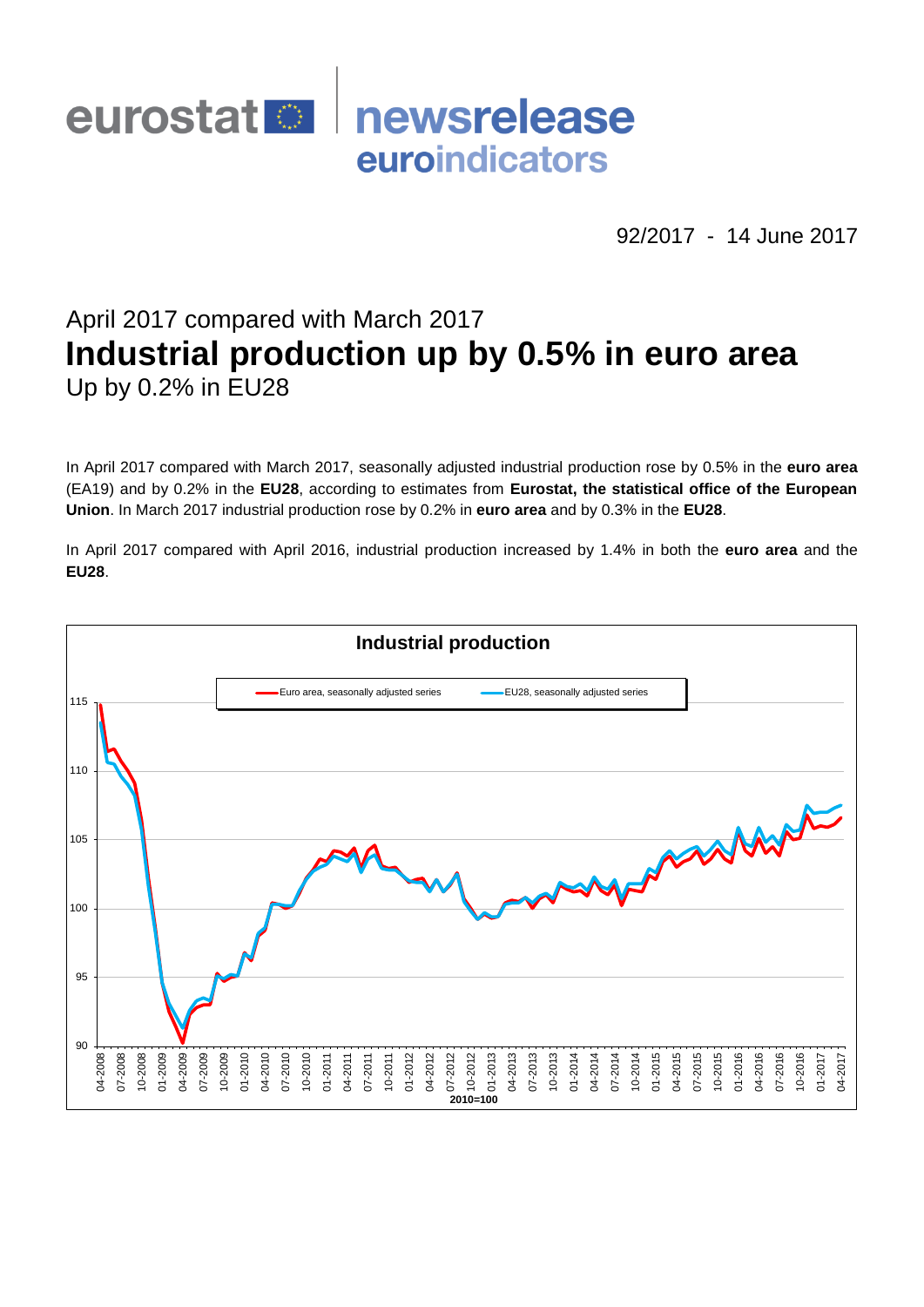

92/2017 - 14 June 2017

# April 2017 compared with March 2017 **Industrial production up by 0.5% in euro area** Up by 0.2% in EU28

In April 2017 compared with March 2017, seasonally adjusted industrial production rose by 0.5% in the **euro area**  (EA19) and by 0.2% in the **EU28**, according to estimates from **Eurostat, the statistical office of the European Union**. In March 2017 industrial production rose by 0.2% in **euro area** and by 0.3% in the **EU28**.

In April 2017 compared with April 2016, industrial production increased by 1.4% in both the **euro area** and the **EU28**.

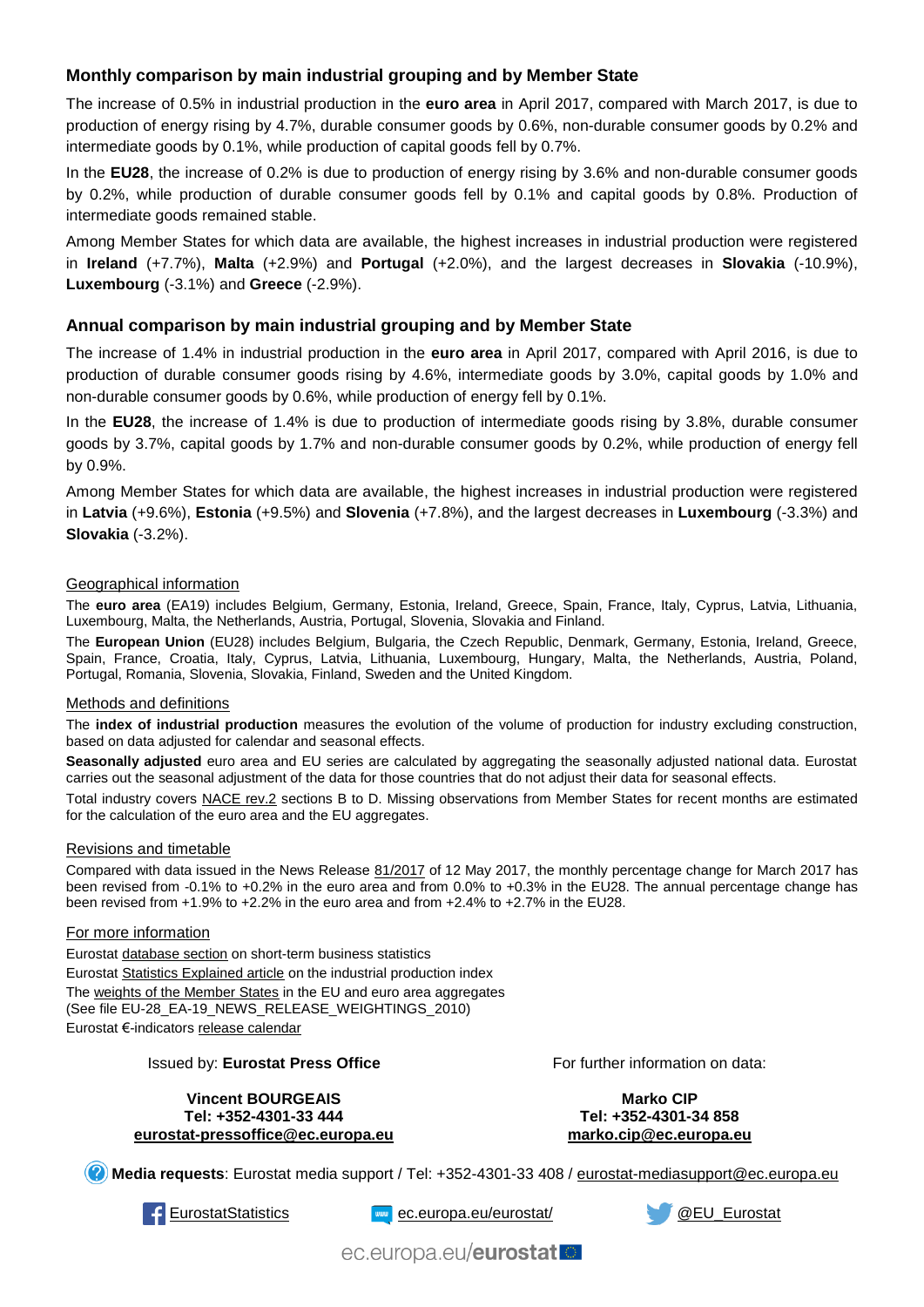# **Monthly comparison by main industrial grouping and by Member State**

The increase of 0.5% in industrial production in the **euro area** in April 2017, compared with March 2017, is due to production of energy rising by 4.7%, durable consumer goods by 0.6%, non-durable consumer goods by 0.2% and intermediate goods by 0.1%, while production of capital goods fell by 0.7%.

In the **EU28**, the increase of 0.2% is due to production of energy rising by 3.6% and non-durable consumer goods by 0.2%, while production of durable consumer goods fell by 0.1% and capital goods by 0.8%. Production of intermediate goods remained stable.

Among Member States for which data are available, the highest increases in industrial production were registered in **Ireland** (+7.7%), **Malta** (+2.9%) and **Portugal** (+2.0%), and the largest decreases in **Slovakia** (-10.9%), **Luxembourg** (-3.1%) and **Greece** (-2.9%).

## **Annual comparison by main industrial grouping and by Member State**

The increase of 1.4% in industrial production in the **euro area** in April 2017, compared with April 2016, is due to production of durable consumer goods rising by 4.6%, intermediate goods by 3.0%, capital goods by 1.0% and non-durable consumer goods by 0.6%, while production of energy fell by 0.1%.

In the **EU28**, the increase of 1.4% is due to production of intermediate goods rising by 3.8%, durable consumer goods by 3.7%, capital goods by 1.7% and non-durable consumer goods by 0.2%, while production of energy fell by 0.9%.

Among Member States for which data are available, the highest increases in industrial production were registered in **Latvia** (+9.6%), **Estonia** (+9.5%) and **Slovenia** (+7.8%), and the largest decreases in **Luxembourg** (-3.3%) and **Slovakia** (-3.2%).

#### Geographical information

The **euro area** (EA19) includes Belgium, Germany, Estonia, Ireland, Greece, Spain, France, Italy, Cyprus, Latvia, Lithuania, Luxembourg, Malta, the Netherlands, Austria, Portugal, Slovenia, Slovakia and Finland.

The **European Union** (EU28) includes Belgium, Bulgaria, the Czech Republic, Denmark, Germany, Estonia, Ireland, Greece, Spain, France, Croatia, Italy, Cyprus, Latvia, Lithuania, Luxembourg, Hungary, Malta, the Netherlands, Austria, Poland, Portugal, Romania, Slovenia, Slovakia, Finland, Sweden and the United Kingdom.

#### Methods and definitions

The **index of industrial production** measures the evolution of the volume of production for industry excluding construction, based on data adjusted for calendar and seasonal effects.

**Seasonally adjusted** euro area and EU series are calculated by aggregating the seasonally adjusted national data. Eurostat carries out the seasonal adjustment of the data for those countries that do not adjust their data for seasonal effects.

Total industry covers [NACE rev.2](http://ec.europa.eu/eurostat/ramon/nomenclatures/index.cfm?TargetUrl=LST_NOM_DTL&StrNom=NACE_REV2&StrLanguageCode=EN&IntPcKey=&StrLayoutCode=HIERARCHIC) sections B to D. Missing observations from Member States for recent months are estimated for the calculation of the euro area and the EU aggregates.

#### Revisions and timetable

Compared with data issued in the News Release [81/2017](http://ec.europa.eu/eurostat/documents/2995521/8019856/4-12052017-AP-EN.pdf/03fb70ad-ae5c-49b6-b787-5facf90bfe87) of 12 May 2017, the monthly percentage change for March 2017 has been revised from -0.1% to +0.2% in the euro area and from 0.0% to +0.3% in the EU28. The annual percentage change has been revised from +1.9% to +2.2% in the euro area and from +2.4% to +2.7% in the EU28.

#### For more information

Eurosta[t database section](http://ec.europa.eu/eurostat/web/short-term-business-statistics/data/database) on short-term business statistics Eurosta[t Statistics Explained article](http://ec.europa.eu/eurostat/statistics-explained/index.php/Industrial_production_(volume)_index_overview) on the industrial production index Th[e weights of the Member States](https://circabc.europa.eu/w/browse/5e6d1e48-056c-4c6a-8278-3ab138bcf575) in the EU and euro area aggregates (See file EU-28\_EA-19\_NEWS\_RELEASE\_WEIGHTINGS\_2010) Eurostat €-indicator[s release calendar](http://ec.europa.eu/eurostat/news/release-calendar)

#### Issued by: **Eurostat Press Office**

**Vincent BOURGEAIS Tel: +352-4301-33 444 [eurostat-pressoffice@ec.europa.eu](mailto:eurostat-pressoffice@ec.europa.eu)** For further information on data:

**Marko CIP Tel: +352-4301-34 858 [marko.cip@ec.europa.eu](mailto:marko.cip@ec.europa.eu)**

**Media requests**: Eurostat media support / Tel: +352-4301-33 408 / [eurostat-mediasupport@ec.europa.eu](mailto:eurostat-mediasupport@ec.europa.eu)



[EurostatStatistics](http://www.facebook.com/EurostatStatistics) www.[ec.europa.eu/eurostat/](http://ec.europa.eu/eurostat/) [@EU\\_Eurostat](http://twitter.com/EU_Eurostat)



ec.europa.eu/eurostatlo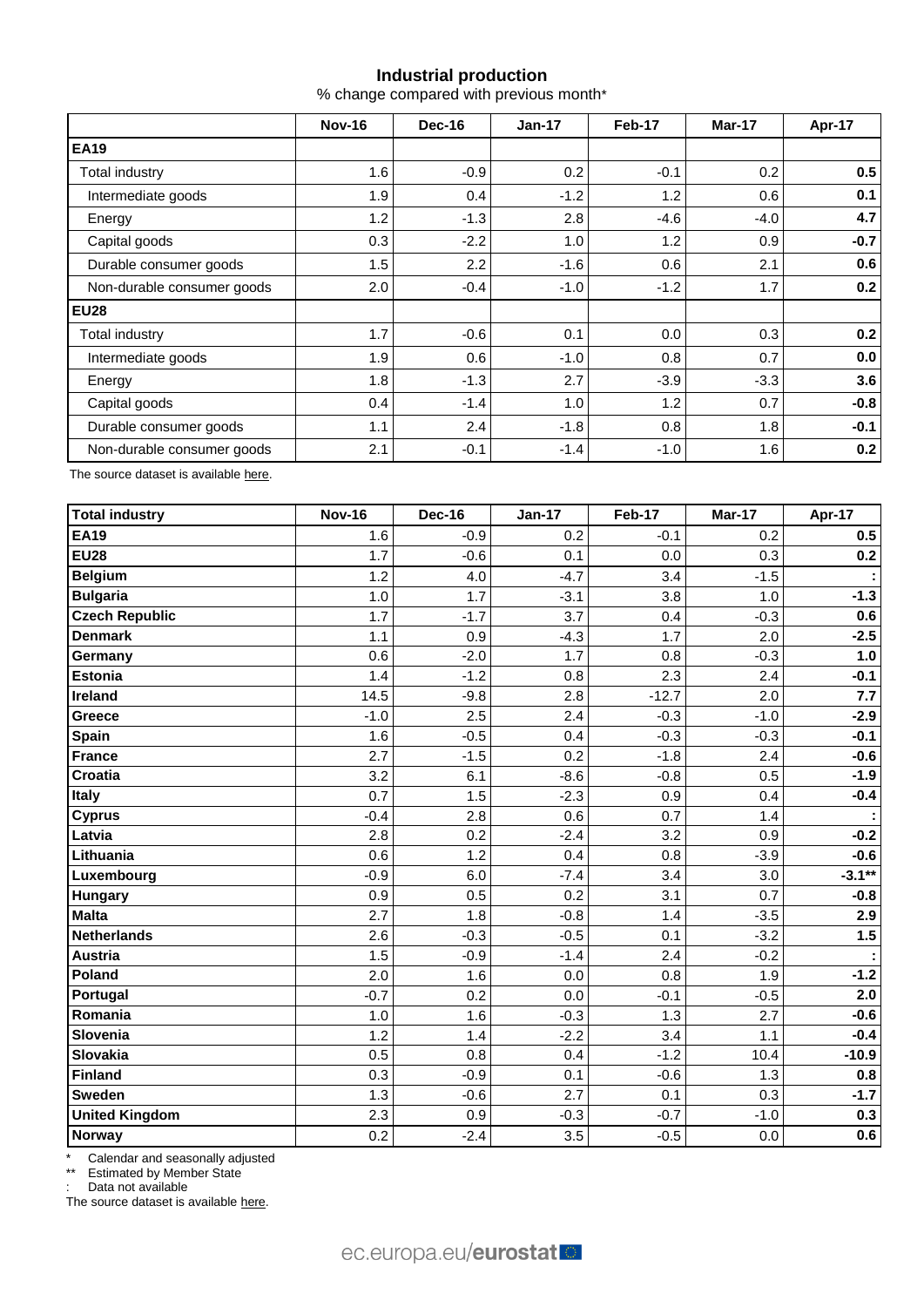## **Industrial production**

% change compared with previous month\*

|                            | <b>Nov-16</b> | Dec-16 | $Jan-17$ | Feb-17 | Mar-17 | Apr-17 |
|----------------------------|---------------|--------|----------|--------|--------|--------|
| <b>EA19</b>                |               |        |          |        |        |        |
| Total industry             | 1.6           | $-0.9$ | 0.2      | $-0.1$ | 0.2    | 0.5    |
| Intermediate goods         | 1.9           | 0.4    | $-1.2$   | 1.2    | 0.6    | 0.1    |
| Energy                     | 1.2           | $-1.3$ | 2.8      | $-4.6$ | -4.0   | 4.7    |
| Capital goods              | 0.3           | $-2.2$ | 1.0      | 1.2    | 0.9    | $-0.7$ |
| Durable consumer goods     | 1.5           | 2.2    | $-1.6$   | 0.6    | 2.1    | 0.6    |
| Non-durable consumer goods | $2.0\,$       | $-0.4$ | $-1.0$   | $-1.2$ | 1.7    | 0.2    |
| <b>EU28</b>                |               |        |          |        |        |        |
| Total industry             | 1.7           | $-0.6$ | 0.1      | 0.0    | 0.3    | 0.2    |
| Intermediate goods         | 1.9           | 0.6    | $-1.0$   | 0.8    | 0.7    | 0.0    |
| Energy                     | 1.8           | $-1.3$ | 2.7      | $-3.9$ | $-3.3$ | 3.6    |
| Capital goods              | 0.4           | $-1.4$ | 1.0      | 1.2    | 0.7    | $-0.8$ |
| Durable consumer goods     | 1.1           | 2.4    | $-1.8$   | 0.8    | 1.8    | $-0.1$ |
| Non-durable consumer goods | 2.1           | $-0.1$ | $-1.4$   | $-1.0$ | 1.6    | 0.2    |

The source dataset is availabl[e here.](http://appsso.eurostat.ec.europa.eu/nui/show.do?query=BOOKMARK_DS-069583_QID_-53045BCF_UID_-3F171EB0&layout=TIME,C,X,0;GEO,L,Y,0;NACE_R2,L,Y,1;INDIC_BT,L,Z,0;S_ADJ,L,Z,1;UNIT,L,Z,2;INDICATORS,C,Z,3;&zSelection=DS-069583UNIT,PCH_PRE;DS-069583S_ADJ,SCA;DS-069583INDIC_BT,PROD;DS-069583INDICATORS,OBS_FLAG;&rankName1=UNIT_1_2_-1_2&rankName2=INDIC-BT_1_2_-1_2&rankName3=INDICATORS_1_2_-1_2&rankName4=S-ADJ_1_2_-1_2&rankName5=TIME_1_0_0_0&rankName6=GEO_1_0_0_1&rankName7=NACE-R2_1_2_1_1&sortR=ASC_-1_FIRST&sortC=ASC_-1_FIRST&rStp=&cStp=&rDCh=&cDCh=&rDM=true&cDM=true&footnes=false&empty=false&wai=false&time_mode=ROLLING&time_most_recent=true&lang=EN&cfo=%23%23%23%2C%23%23%23.%23%23%23)

| <b>Total industry</b> | <b>Nov-16</b> | Dec-16 | <b>Jan-17</b> | <b>Feb-17</b> | Mar-17 | Apr-17   |
|-----------------------|---------------|--------|---------------|---------------|--------|----------|
| <b>EA19</b>           | 1.6           | $-0.9$ | 0.2           | $-0.1$        | 0.2    | 0.5      |
| <b>EU28</b>           | 1.7           | $-0.6$ | 0.1           | 0.0           | 0.3    | 0.2      |
| <b>Belgium</b>        | 1.2           | 4.0    | $-4.7$        | 3.4           | $-1.5$ |          |
| <b>Bulgaria</b>       | 1.0           | 1.7    | $-3.1$        | 3.8           | 1.0    | $-1.3$   |
| <b>Czech Republic</b> | 1.7           | $-1.7$ | 3.7           | 0.4           | $-0.3$ | 0.6      |
| <b>Denmark</b>        | 1.1           | 0.9    | $-4.3$        | 1.7           | 2.0    | $-2.5$   |
| Germany               | 0.6           | $-2.0$ | 1.7           | 0.8           | $-0.3$ | 1.0      |
| <b>Estonia</b>        | 1.4           | $-1.2$ | 0.8           | 2.3           | 2.4    | $-0.1$   |
| Ireland               | 14.5          | $-9.8$ | 2.8           | $-12.7$       | 2.0    | 7.7      |
| Greece                | $-1.0$        | 2.5    | 2.4           | $-0.3$        | $-1.0$ | $-2.9$   |
| Spain                 | 1.6           | $-0.5$ | 0.4           | $-0.3$        | $-0.3$ | $-0.1$   |
| <b>France</b>         | 2.7           | $-1.5$ | 0.2           | $-1.8$        | 2.4    | $-0.6$   |
| Croatia               | 3.2           | 6.1    | $-8.6$        | $-0.8$        | 0.5    | $-1.9$   |
| Italy                 | 0.7           | 1.5    | $-2.3$        | 0.9           | 0.4    | $-0.4$   |
| <b>Cyprus</b>         | $-0.4$        | 2.8    | 0.6           | 0.7           | 1.4    | ÷        |
| Latvia                | 2.8           | 0.2    | $-2.4$        | 3.2           | 0.9    | $-0.2$   |
| Lithuania             | 0.6           | 1.2    | 0.4           | 0.8           | $-3.9$ | $-0.6$   |
| Luxembourg            | $-0.9$        | 6.0    | $-7.4$        | 3.4           | 3.0    | $-3.1**$ |
| <b>Hungary</b>        | 0.9           | 0.5    | 0.2           | 3.1           | 0.7    | $-0.8$   |
| <b>Malta</b>          | 2.7           | 1.8    | $-0.8$        | 1.4           | $-3.5$ | 2.9      |
| Netherlands           | 2.6           | $-0.3$ | $-0.5$        | 0.1           | $-3.2$ | 1.5      |
| <b>Austria</b>        | 1.5           | $-0.9$ | $-1.4$        | 2.4           | $-0.2$ | ÷        |
| Poland                | 2.0           | 1.6    | 0.0           | 0.8           | 1.9    | $-1.2$   |
| Portugal              | $-0.7$        | 0.2    | 0.0           | $-0.1$        | $-0.5$ | 2.0      |
| Romania               | 1.0           | 1.6    | $-0.3$        | 1.3           | 2.7    | $-0.6$   |
| Slovenia              | 1.2           | 1.4    | $-2.2$        | 3.4           | 1.1    | $-0.4$   |
| Slovakia              | 0.5           | 0.8    | 0.4           | $-1.2$        | 10.4   | $-10.9$  |
| Finland               | 0.3           | $-0.9$ | 0.1           | $-0.6$        | 1.3    | 0.8      |
| <b>Sweden</b>         | 1.3           | $-0.6$ | 2.7           | 0.1           | 0.3    | $-1.7$   |
| <b>United Kingdom</b> | 2.3           | 0.9    | $-0.3$        | $-0.7$        | $-1.0$ | 0.3      |
| Norway                | 0.2           | $-2.4$ | 3.5           | $-0.5$        | 0.0    | 0.6      |

\* Calendar and seasonally adjusted

\*\* Estimated by Member State

: Data not available

The source dataset is available [here.](http://appsso.eurostat.ec.europa.eu/nui/show.do?query=BOOKMARK_DS-069583_QID_-3986CD57_UID_-3F171EB0&layout=TIME,C,X,0;GEO,L,Y,0;INDIC_BT,L,Z,0;S_ADJ,L,Z,1;UNIT,L,Z,2;NACE_R2,L,Z,3;INDICATORS,C,Z,4;&zSelection=DS-069583UNIT,PCH_PRE;DS-069583S_ADJ,SCA;DS-069583INDIC_BT,PROD;DS-069583INDICATORS,OBS_FLAG;DS-069583NACE_R2,B-D;&rankName1=UNIT_1_2_-1_2&rankName2=INDIC-BT_1_2_-1_2&rankName3=INDICATORS_1_2_-1_2&rankName4=S-ADJ_1_2_-1_2&rankName5=NACE-R2_1_2_-1_2&rankName6=TIME_1_0_0_0&rankName7=GEO_1_2_0_1&sortC=ASC_-1_FIRST&rStp=&cStp=&rDCh=&cDCh=&rDM=true&cDM=true&footnes=false&empty=false&wai=false&time_mode=ROLLING&time_most_recent=true&lang=EN&cfo=%23%23%23%2C%23%23%23.%23%23%23)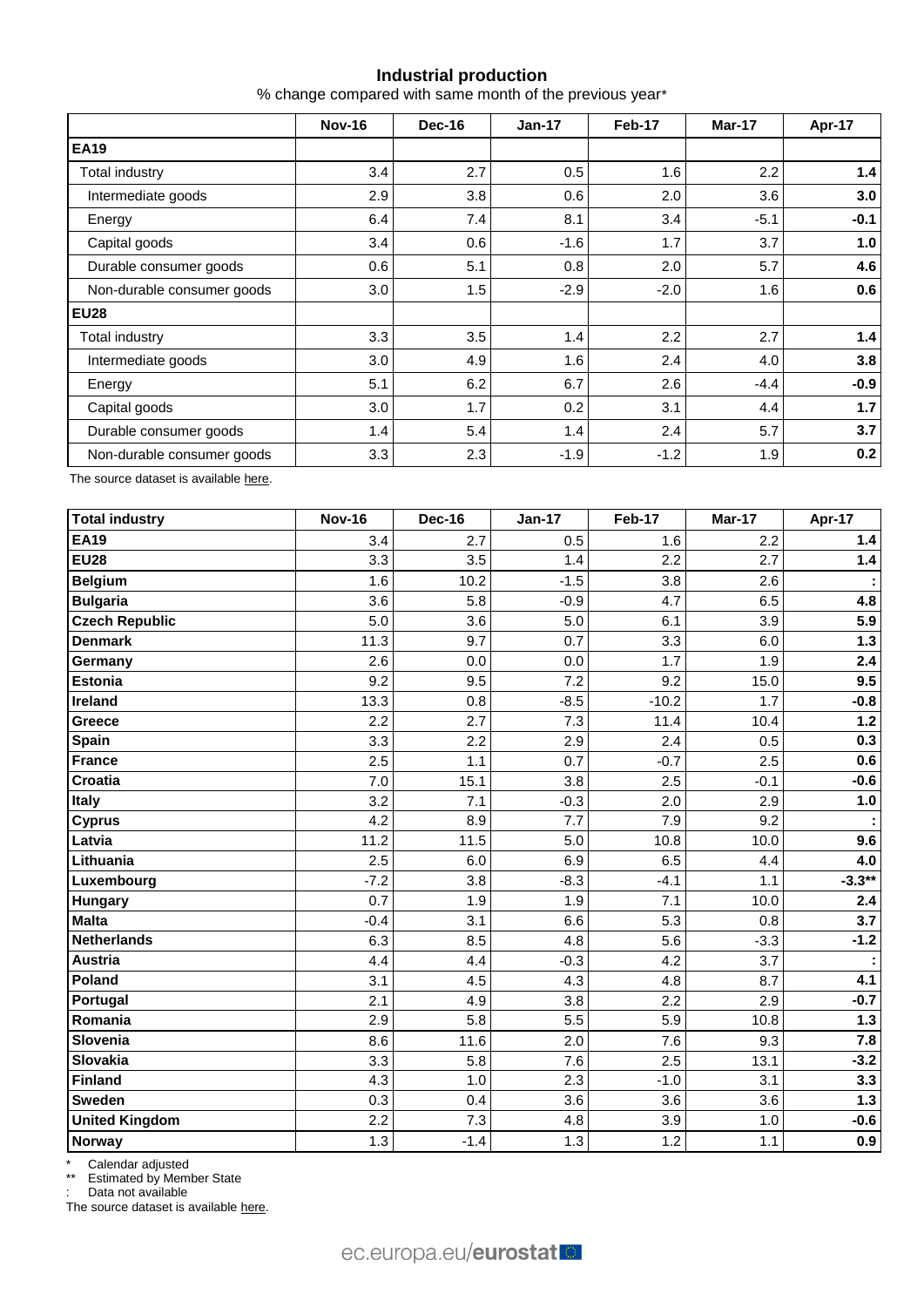# **Industrial production**

% change compared with same month of the previous year\*

|                            | <b>Nov-16</b> | Dec-16 | $Jan-17$ | Feb-17 | Mar-17 | Apr-17 |
|----------------------------|---------------|--------|----------|--------|--------|--------|
| <b>EA19</b>                |               |        |          |        |        |        |
| Total industry             | 3.4           | 2.7    | 0.5      | 1.6    | 2.2    | 1.4    |
| Intermediate goods         | 2.9           | 3.8    | 0.6      | 2.0    | 3.6    | 3.0    |
| Energy                     | 6.4           | 7.4    | 8.1      | 3.4    | $-5.1$ | $-0.1$ |
| Capital goods              | 3.4           | 0.6    | $-1.6$   | 1.7    | 3.7    | 1.0    |
| Durable consumer goods     | 0.6           | 5.1    | 0.8      | 2.0    | 5.7    | 4.6    |
| Non-durable consumer goods | 3.0           | 1.5    | $-2.9$   | $-2.0$ | 1.6    | 0.6    |
| <b>EU28</b>                |               |        |          |        |        |        |
| <b>Total industry</b>      | 3.3           | 3.5    | 1.4      | 2.2    | 2.7    | 1.4    |
| Intermediate goods         | 3.0           | 4.9    | 1.6      | 2.4    | 4.0    | 3.8    |
| Energy                     | 5.1           | 6.2    | 6.7      | 2.6    | $-4.4$ | $-0.9$ |
| Capital goods              | 3.0           | 1.7    | 0.2      | 3.1    | 4.4    | 1.7    |
| Durable consumer goods     | 1.4           | 5.4    | 1.4      | 2.4    | 5.7    | 3.7    |
| Non-durable consumer goods | 3.3           | 2.3    | $-1.9$   | $-1.2$ | 1.9    | 0.2    |

The source dataset is availabl[e here.](http://appsso.eurostat.ec.europa.eu/nui/show.do?query=BOOKMARK_DS-069583_QID_-628F3FF0_UID_-3F171EB0&layout=TIME,C,X,0;GEO,L,Y,0;NACE_R2,L,Y,1;INDIC_BT,L,Z,0;S_ADJ,L,Z,1;UNIT,L,Z,2;INDICATORS,C,Z,3;&zSelection=DS-069583UNIT,PCH_PRE;DS-069583S_ADJ,SCA;DS-069583INDIC_BT,PROD;DS-069583INDICATORS,OBS_FLAG;&rankName1=UNIT_1_2_-1_2&rankName2=INDIC-BT_1_2_-1_2&rankName3=INDICATORS_1_2_-1_2&rankName4=S-ADJ_1_2_-1_2&rankName5=TIME_1_0_0_0&rankName6=GEO_1_0_0_1&rankName7=NACE-R2_1_2_1_1&sortR=ASC_-1_FIRST&sortC=ASC_-1_FIRST&rStp=&cStp=&rDCh=&cDCh=&rDM=true&cDM=true&footnes=false&empty=false&wai=false&time_mode=ROLLING&time_most_recent=true&lang=EN&cfo=%23%23%23%2C%23%23%23.%23%23%23)

| <b>Total industry</b> | <b>Nov-16</b> | <b>Dec-16</b> | <b>Jan-17</b> | Feb-17  | Mar-17 | Apr-17   |
|-----------------------|---------------|---------------|---------------|---------|--------|----------|
| <b>EA19</b>           | 3.4           | 2.7           | 0.5           | 1.6     | 2.2    | 1.4      |
| <b>EU28</b>           | 3.3           | 3.5           | 1.4           | 2.2     | 2.7    | 1.4      |
| <b>Belgium</b>        | 1.6           | 10.2          | $-1.5$        | 3.8     | 2.6    |          |
| <b>Bulgaria</b>       | 3.6           | 5.8           | $-0.9$        | 4.7     | 6.5    | 4.8      |
| <b>Czech Republic</b> | 5.0           | 3.6           | 5.0           | 6.1     | 3.9    | 5.9      |
| <b>Denmark</b>        | 11.3          | 9.7           | 0.7           | 3.3     | 6.0    | $1.3$    |
| Germany               | 2.6           | 0.0           | 0.0           | 1.7     | 1.9    | 2.4      |
| Estonia               | 9.2           | 9.5           | 7.2           | 9.2     | 15.0   | 9.5      |
| Ireland               | 13.3          | 0.8           | $-8.5$        | $-10.2$ | 1.7    | $-0.8$   |
| Greece                | 2.2           | 2.7           | 7.3           | 11.4    | 10.4   | $1.2$    |
| Spain                 | 3.3           | 2.2           | 2.9           | 2.4     | 0.5    | 0.3      |
| <b>France</b>         | 2.5           | 1.1           | 0.7           | $-0.7$  | 2.5    | 0.6      |
| <b>Croatia</b>        | 7.0           | 15.1          | 3.8           | 2.5     | $-0.1$ | $-0.6$   |
| <b>Italy</b>          | 3.2           | 7.1           | $-0.3$        | 2.0     | 2.9    | 1.0      |
| <b>Cyprus</b>         | 4.2           | 8.9           | 7.7           | 7.9     | 9.2    |          |
| Latvia                | 11.2          | 11.5          | 5.0           | 10.8    | 10.0   | 9.6      |
| Lithuania             | 2.5           | 6.0           | 6.9           | 6.5     | 4.4    | 4.0      |
| Luxembourg            | $-7.2$        | 3.8           | $-8.3$        | $-4.1$  | 1.1    | $-3.3**$ |
| <b>Hungary</b>        | 0.7           | 1.9           | 1.9           | 7.1     | 10.0   | 2.4      |
| <b>Malta</b>          | $-0.4$        | 3.1           | 6.6           | 5.3     | 0.8    | 3.7      |
| <b>Netherlands</b>    | 6.3           | 8.5           | 4.8           | 5.6     | $-3.3$ | $-1.2$   |
| <b>Austria</b>        | 4.4           | 4.4           | $-0.3$        | 4.2     | 3.7    |          |
| Poland                | 3.1           | 4.5           | 4.3           | 4.8     | 8.7    | 4.1      |
| Portugal              | 2.1           | 4.9           | 3.8           | 2.2     | 2.9    | $-0.7$   |
| Romania               | 2.9           | 5.8           | 5.5           | 5.9     | 10.8   | $1.3$    |
| Slovenia              | 8.6           | 11.6          | 2.0           | 7.6     | 9.3    | 7.8      |
| <b>Slovakia</b>       | 3.3           | 5.8           | 7.6           | 2.5     | 13.1   | $-3.2$   |
| <b>Finland</b>        | 4.3           | 1.0           | 2.3           | $-1.0$  | 3.1    | 3.3      |
| <b>Sweden</b>         | 0.3           | 0.4           | 3.6           | 3.6     | 3.6    | $1.3$    |
| <b>United Kingdom</b> | 2.2           | 7.3           | 4.8           | 3.9     | 1.0    | $-0.6$   |
| Norway                | 1.3           | $-1.4$        | 1.3           | 1.2     | 1.1    | 0.9      |

\* Calendar adjusted

\*\* Estimated by Member State

: Data not available

The source dataset is available [here.](http://appsso.eurostat.ec.europa.eu/nui/show.do?query=BOOKMARK_DS-069583_QID_690FAA53_UID_-3F171EB0&layout=TIME,C,X,0;GEO,L,Y,0;NACE_R2,L,Y,1;INDIC_BT,L,Z,0;S_ADJ,L,Z,1;UNIT,L,Z,2;INDICATORS,C,Z,3;&zSelection=DS-069583UNIT,PCH_SM;DS-069583S_ADJ,CA;DS-069583INDIC_BT,PROD;DS-069583INDICATORS,OBS_FLAG;&rankName1=UNIT_1_2_-1_2&rankName2=INDIC-BT_1_2_-1_2&rankName3=INDICATORS_1_2_-1_2&rankName4=S-ADJ_1_2_-1_2&rankName5=TIME_1_0_0_0&rankName6=GEO_1_2_0_1&rankName7=NACE-R2_1_2_1_1&sortC=ASC_-1_FIRST&rStp=&cStp=&rDCh=&cDCh=&rDM=true&cDM=true&footnes=false&empty=false&wai=false&time_mode=ROLLING&time_most_recent=true&lang=EN&cfo=%23%23%23%2C%23%23%23.%23%23%23)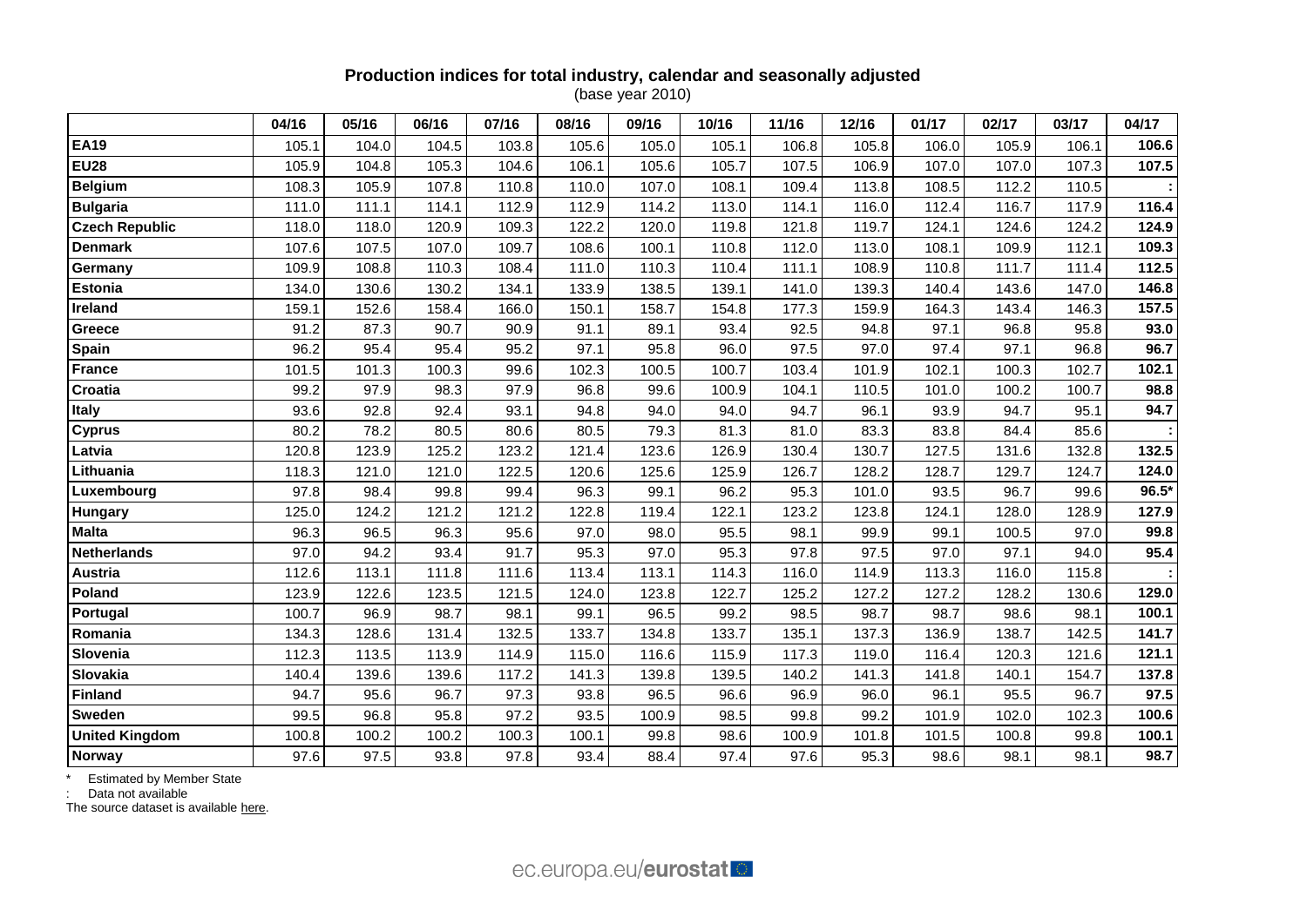### **Production indices for total industry, calendar and seasonally adjusted** (base year 2010)

|                       | 04/16 | 05/16 | 06/16 | 07/16 | 08/16 | 09/16 | 10/16 | 11/16 | 12/16 | 01/17 | 02/17 | 03/17 | 04/17 |
|-----------------------|-------|-------|-------|-------|-------|-------|-------|-------|-------|-------|-------|-------|-------|
| <b>EA19</b>           | 105.1 | 104.0 | 104.5 | 103.8 | 105.6 | 105.0 | 105.1 | 106.8 | 105.8 | 106.0 | 105.9 | 106.1 | 106.6 |
| <b>EU28</b>           | 105.9 | 104.8 | 105.3 | 104.6 | 106.1 | 105.6 | 105.7 | 107.5 | 106.9 | 107.0 | 107.0 | 107.3 | 107.5 |
| <b>Belgium</b>        | 108.3 | 105.9 | 107.8 | 110.8 | 110.0 | 107.0 | 108.1 | 109.4 | 113.8 | 108.5 | 112.2 | 110.5 |       |
| <b>Bulgaria</b>       | 111.0 | 111.1 | 114.1 | 112.9 | 112.9 | 114.2 | 113.0 | 114.1 | 116.0 | 112.4 | 116.7 | 117.9 | 116.4 |
| <b>Czech Republic</b> | 118.0 | 118.0 | 120.9 | 109.3 | 122.2 | 120.0 | 119.8 | 121.8 | 119.7 | 124.1 | 124.6 | 124.2 | 124.9 |
| <b>Denmark</b>        | 107.6 | 107.5 | 107.0 | 109.7 | 108.6 | 100.1 | 110.8 | 112.0 | 113.0 | 108.1 | 109.9 | 112.1 | 109.3 |
| Germany               | 109.9 | 108.8 | 110.3 | 108.4 | 111.0 | 110.3 | 110.4 | 111.1 | 108.9 | 110.8 | 111.7 | 111.4 | 112.5 |
| Estonia               | 134.0 | 130.6 | 130.2 | 134.1 | 133.9 | 138.5 | 139.1 | 141.0 | 139.3 | 140.4 | 143.6 | 147.0 | 146.8 |
| Ireland               | 159.1 | 152.6 | 158.4 | 166.0 | 150.1 | 158.7 | 154.8 | 177.3 | 159.9 | 164.3 | 143.4 | 146.3 | 157.5 |
| Greece                | 91.2  | 87.3  | 90.7  | 90.9  | 91.1  | 89.1  | 93.4  | 92.5  | 94.8  | 97.1  | 96.8  | 95.8  | 93.0  |
| Spain                 | 96.2  | 95.4  | 95.4  | 95.2  | 97.1  | 95.8  | 96.0  | 97.5  | 97.0  | 97.4  | 97.1  | 96.8  | 96.7  |
| <b>France</b>         | 101.5 | 101.3 | 100.3 | 99.6  | 102.3 | 100.5 | 100.7 | 103.4 | 101.9 | 102.1 | 100.3 | 102.7 | 102.1 |
| Croatia               | 99.2  | 97.9  | 98.3  | 97.9  | 96.8  | 99.6  | 100.9 | 104.1 | 110.5 | 101.0 | 100.2 | 100.7 | 98.8  |
| <b>Italy</b>          | 93.6  | 92.8  | 92.4  | 93.1  | 94.8  | 94.0  | 94.0  | 94.7  | 96.1  | 93.9  | 94.7  | 95.1  | 94.7  |
| <b>Cyprus</b>         | 80.2  | 78.2  | 80.5  | 80.6  | 80.5  | 79.3  | 81.3  | 81.0  | 83.3  | 83.8  | 84.4  | 85.6  |       |
| Latvia                | 120.8 | 123.9 | 125.2 | 123.2 | 121.4 | 123.6 | 126.9 | 130.4 | 130.7 | 127.5 | 131.6 | 132.8 | 132.5 |
| Lithuania             | 118.3 | 121.0 | 121.0 | 122.5 | 120.6 | 125.6 | 125.9 | 126.7 | 128.2 | 128.7 | 129.7 | 124.7 | 124.0 |
| Luxembourg            | 97.8  | 98.4  | 99.8  | 99.4  | 96.3  | 99.1  | 96.2  | 95.3  | 101.0 | 93.5  | 96.7  | 99.6  | 96.5* |
| Hungary               | 125.0 | 124.2 | 121.2 | 121.2 | 122.8 | 119.4 | 122.1 | 123.2 | 123.8 | 124.1 | 128.0 | 128.9 | 127.9 |
| <b>Malta</b>          | 96.3  | 96.5  | 96.3  | 95.6  | 97.0  | 98.0  | 95.5  | 98.1  | 99.9  | 99.1  | 100.5 | 97.0  | 99.8  |
| <b>Netherlands</b>    | 97.0  | 94.2  | 93.4  | 91.7  | 95.3  | 97.0  | 95.3  | 97.8  | 97.5  | 97.0  | 97.1  | 94.0  | 95.4  |
| <b>Austria</b>        | 112.6 | 113.1 | 111.8 | 111.6 | 113.4 | 113.1 | 114.3 | 116.0 | 114.9 | 113.3 | 116.0 | 115.8 |       |
| Poland                | 123.9 | 122.6 | 123.5 | 121.5 | 124.0 | 123.8 | 122.7 | 125.2 | 127.2 | 127.2 | 128.2 | 130.6 | 129.0 |
| Portugal              | 100.7 | 96.9  | 98.7  | 98.1  | 99.1  | 96.5  | 99.2  | 98.5  | 98.7  | 98.7  | 98.6  | 98.1  | 100.1 |
| Romania               | 134.3 | 128.6 | 131.4 | 132.5 | 133.7 | 134.8 | 133.7 | 135.1 | 137.3 | 136.9 | 138.7 | 142.5 | 141.7 |
| Slovenia              | 112.3 | 113.5 | 113.9 | 114.9 | 115.0 | 116.6 | 115.9 | 117.3 | 119.0 | 116.4 | 120.3 | 121.6 | 121.1 |
| Slovakia              | 140.4 | 139.6 | 139.6 | 117.2 | 141.3 | 139.8 | 139.5 | 140.2 | 141.3 | 141.8 | 140.1 | 154.7 | 137.8 |
| <b>Finland</b>        | 94.7  | 95.6  | 96.7  | 97.3  | 93.8  | 96.5  | 96.6  | 96.9  | 96.0  | 96.1  | 95.5  | 96.7  | 97.5  |
| Sweden                | 99.5  | 96.8  | 95.8  | 97.2  | 93.5  | 100.9 | 98.5  | 99.8  | 99.2  | 101.9 | 102.0 | 102.3 | 100.6 |
| <b>United Kingdom</b> | 100.8 | 100.2 | 100.2 | 100.3 | 100.1 | 99.8  | 98.6  | 100.9 | 101.8 | 101.5 | 100.8 | 99.8  | 100.1 |
| <b>Norway</b>         | 97.6  | 97.5  | 93.8  | 97.8  | 93.4  | 88.4  | 97.4  | 97.6  | 95.3  | 98.6  | 98.1  | 98.1  | 98.7  |

\* Estimated by Member State

: Data not available

The source dataset is available [here.](http://appsso.eurostat.ec.europa.eu/nui/show.do?query=BOOKMARK_DS-069583_QID_24071044_UID_-3F171EB0&layout=TIME,C,X,0;GEO,L,Y,0;INDIC_BT,L,Z,0;S_ADJ,L,Z,1;UNIT,L,Z,2;NACE_R2,L,Z,3;INDICATORS,C,Z,4;&zSelection=DS-069583UNIT,I10;DS-069583S_ADJ,SCA;DS-069583INDIC_BT,PROD;DS-069583INDICATORS,OBS_FLAG;DS-069583NACE_R2,B-D;&rankName1=UNIT_1_2_-1_2&rankName2=INDIC-BT_1_2_-1_2&rankName3=INDICATORS_1_2_-1_2&rankName4=S-ADJ_1_2_-1_2&rankName5=NACE-R2_1_2_1_1&rankName6=TIME_1_0_0_0&rankName7=GEO_1_2_0_1&sortC=ASC_-1_FIRST&rStp=&cStp=&rDCh=&cDCh=&rDM=true&cDM=true&footnes=false&empty=false&wai=false&time_mode=ROLLING&time_most_recent=true&lang=EN&cfo=%23%23%23%2C%23%23%23.%23%23%23)